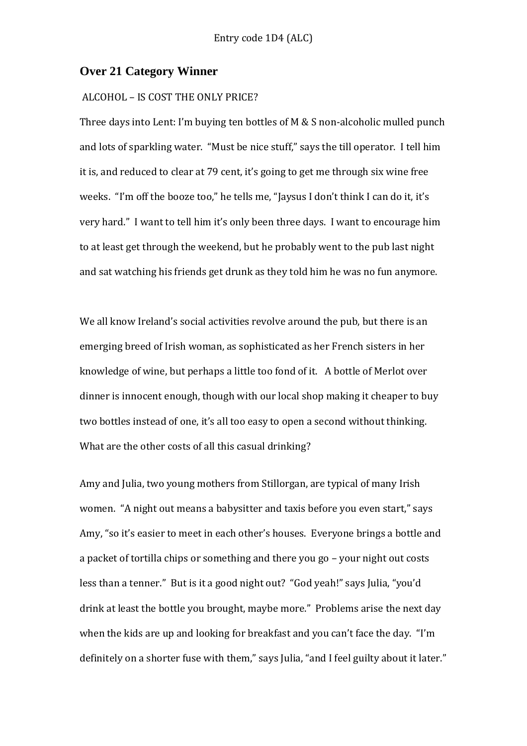#### **Over 21 Category Winner**

#### ALCOHOL – IS COST THE ONLY PRICE?

Three days into Lent: I'm buying ten bottles of M & S non-alcoholic mulled punch and lots of sparkling water. "Must be nice stuff," says the till operator. I tell him it is, and reduced to clear at 79 cent, it's going to get me through six wine free weeks. "I'm off the booze too," he tells me, "Jaysus I don't think I can do it, it's very hard." I want to tell him it's only been three days. I want to encourage him to at least get through the weekend, but he probably went to the pub last night and sat watching his friends get drunk as they told him he was no fun anymore.

We all know Ireland's social activities revolve around the pub, but there is an emerging breed of Irish woman, as sophisticated as her French sisters in her knowledge of wine, but perhaps a little too fond of it. A bottle of Merlot over dinner is innocent enough, though with our local shop making it cheaper to buy two bottles instead of one, it's all too easy to open a second without thinking. What are the other costs of all this casual drinking?

Amy and Julia, two young mothers from Stillorgan, are typical of many Irish women. "A night out means a babysitter and taxis before you even start," says Amy, "so it's easier to meet in each other's houses. Everyone brings a bottle and a packet of tortilla chips or something and there you go – your night out costs less than a tenner." But is it a good night out? "God yeah!" says Julia, "you'd drink at least the bottle you brought, maybe more." Problems arise the next day when the kids are up and looking for breakfast and you can't face the day. "I'm definitely on a shorter fuse with them," says Julia, "and I feel guilty about it later."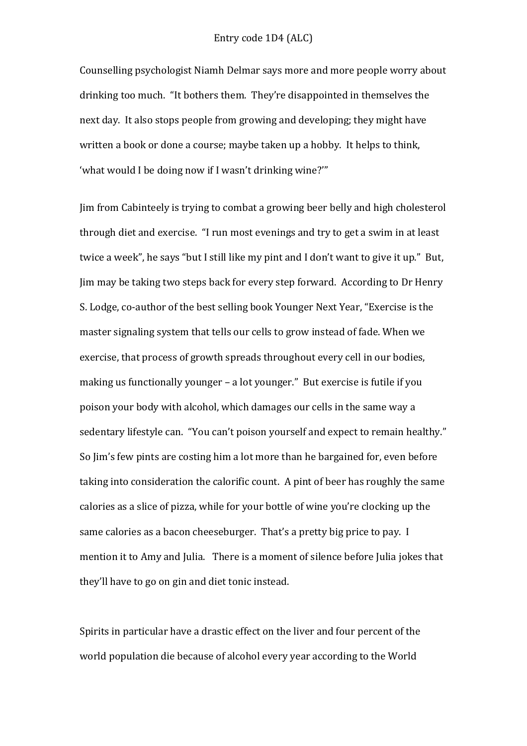Counselling psychologist Niamh Delmar says more and more people worry about drinking too much. "It bothers them. They're disappointed in themselves the next day. It also stops people from growing and developing; they might have written a book or done a course; maybe taken up a hobby. It helps to think, 'what would I be doing now if I wasn't drinking wine?'"

Jim from Cabinteely is trying to combat a growing beer belly and high cholesterol through diet and exercise. "I run most evenings and try to get a swim in at least twice a week", he says "but I still like my pint and I don't want to give it up." But, Jim may be taking two steps back for every step forward. According to Dr Henry S. Lodge, co-author of the best selling book Younger Next Year, "Exercise is the master signaling system that tells our cells to grow instead of fade. When we exercise, that process of growth spreads throughout every cell in our bodies, making us functionally younger – a lot younger." But exercise is futile if you poison your body with alcohol, which damages our cells in the same way a sedentary lifestyle can. "You can't poison yourself and expect to remain healthy." So Jim's few pints are costing him a lot more than he bargained for, even before taking into consideration the calorific count. A pint of beer has roughly the same calories as a slice of pizza, while for your bottle of wine you're clocking up the same calories as a bacon cheeseburger. That's a pretty big price to pay. I mention it to Amy and Julia. There is a moment of silence before Julia jokes that they'll have to go on gin and diet tonic instead.

Spirits in particular have a drastic effect on the liver and four percent of the world population die because of alcohol every year according to the World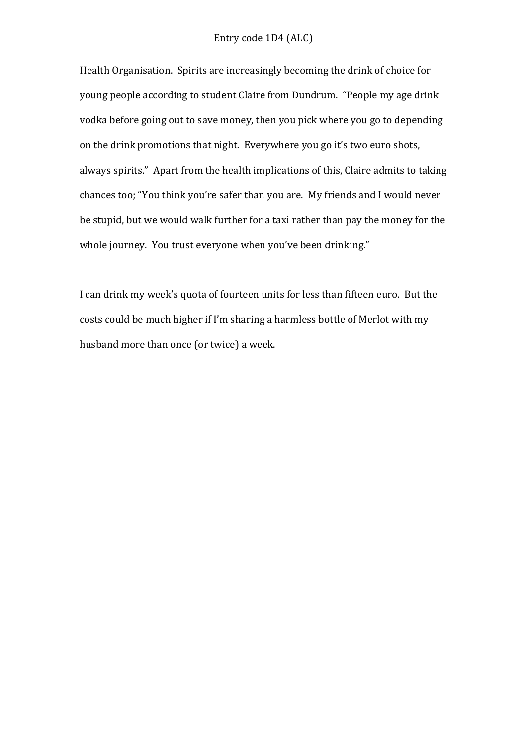Health Organisation. Spirits are increasingly becoming the drink of choice for young people according to student Claire from Dundrum. "People my age drink vodka before going out to save money, then you pick where you go to depending on the drink promotions that night. Everywhere you go it's two euro shots, always spirits." Apart from the health implications of this, Claire admits to taking chances too; "You think you're safer than you are. My friends and I would never be stupid, but we would walk further for a taxi rather than pay the money for the whole journey. You trust everyone when you've been drinking."

I can drink my week's quota of fourteen units for less than fifteen euro. But the costs could be much higher if I'm sharing a harmless bottle of Merlot with my husband more than once (or twice) a week.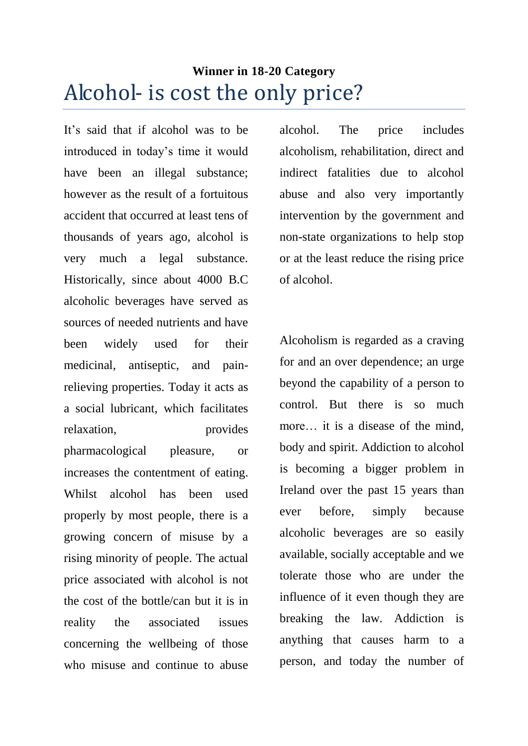# **Winner in 18-20 Category** Alcohol- is cost the only price?

It's said that if alcohol was to be introduced in today's time it would have been an illegal substance; however as the result of a fortuitous accident that occurred at least tens of thousands of years ago, alcohol is very much a legal substance. Historically, since about 4000 B.C alcoholic beverages have served as sources of needed nutrients and have been widely used for their medicinal, antiseptic, and painrelieving properties. Today it acts as a social lubricant, which facilitates relaxation, provides pharmacological pleasure, or increases the contentment of eating. Whilst alcohol has been used properly by most people, there is a growing concern of misuse by a rising minority of people. The actual price associated with alcohol is not the cost of the bottle/can but it is in reality the associated issues concerning the wellbeing of those who misuse and continue to abuse alcohol. The price includes alcoholism, rehabilitation, direct and indirect fatalities due to alcohol abuse and also very importantly intervention by the government and non-state organizations to help stop or at the least reduce the rising price of alcohol.

Alcoholism is regarded as a craving for and an over dependence; an urge beyond the capability of a person to control. But there is so much more… it is a disease of the mind, body and spirit. Addiction to alcohol is becoming a bigger problem in Ireland over the past 15 years than ever before, simply because alcoholic beverages are so easily available, socially acceptable and we tolerate those who are under the influence of it even though they are breaking the law. Addiction is anything that causes harm to a person, and today the number of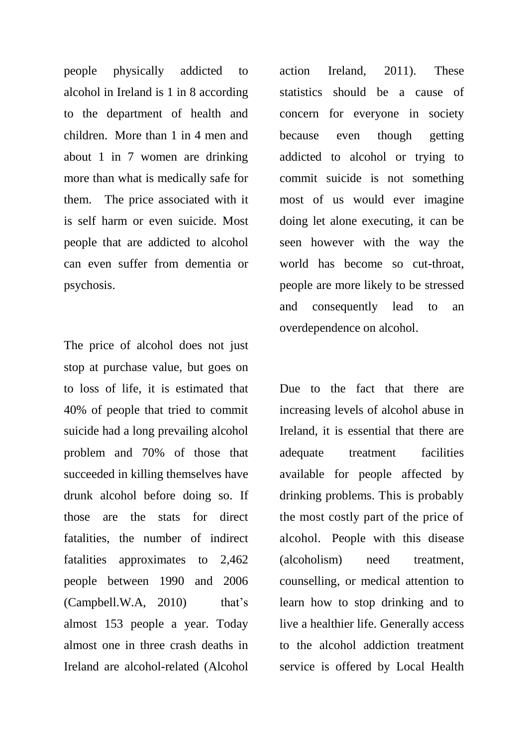people physically addicted to alcohol in Ireland is 1 in 8 according to the department of health and children. More than 1 in 4 men and about 1 in 7 women are drinking more than what is medically safe for them. The price associated with it is self harm or even suicide. Most people that are addicted to alcohol can even suffer from dementia or psychosis.

The price of alcohol does not just stop at purchase value, but goes on to loss of life, it is estimated that 40% of people that tried to commit suicide had a long prevailing alcohol problem and 70% of those that succeeded in killing themselves have drunk alcohol before doing so. If those are the stats for direct fatalities, the number of indirect fatalities approximates to 2,462 people between 1990 and 2006  $(Campbell.W.A, 2010)$  that's almost 153 people a year. Today almost one in three crash deaths in Ireland are alcohol-related (Alcohol

action Ireland, 2011). These statistics should be a cause of concern for everyone in society because even though getting addicted to alcohol or trying to commit suicide is not something most of us would ever imagine doing let alone executing, it can be seen however with the way the world has become so cut-throat, people are more likely to be stressed and consequently lead to an overdependence on alcohol.

Due to the fact that there are increasing levels of alcohol abuse in Ireland, it is essential that there are adequate treatment facilities available for people affected by drinking problems. This is probably the most costly part of the price of alcohol. People with this disease (alcoholism) need treatment, counselling, or medical attention to learn how to stop drinking and to live a healthier life. Generally access to the alcohol addiction treatment service is offered by Local Health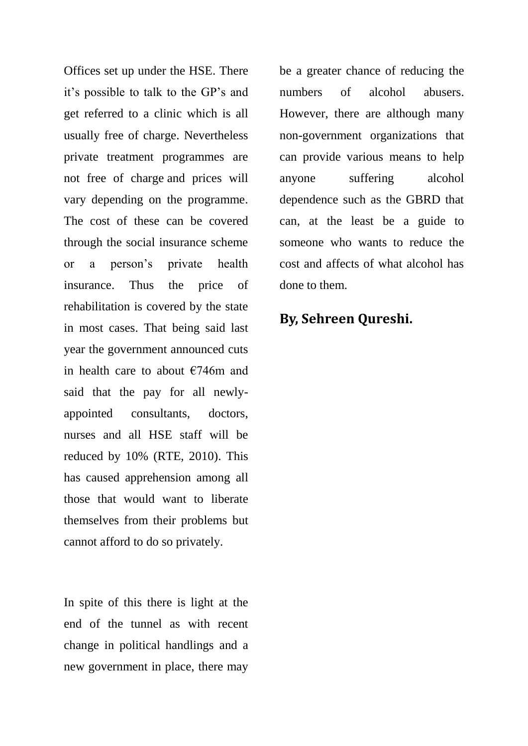Offices set up under the HSE. There it's possible to talk to the GP's and get referred to a clinic which is all usually free of charge. Nevertheless private treatment programmes are not free of charge and prices will vary depending on the programme. The cost of these can be covered through the social insurance scheme or a person's private health insurance. Thus the price of rehabilitation is covered by the state in most cases. That being said last year the government announced cuts in health care to about  $\epsilon$ 746m and said that the pay for all newlyappointed consultants, doctors, nurses and all HSE staff will be reduced by 10% (RTE, 2010). This has caused apprehension among all those that would want to liberate themselves from their problems but cannot afford to do so privately.

In spite of this there is light at the end of the tunnel as with recent change in political handlings and a new government in place, there may be a greater chance of reducing the numbers of alcohol abusers. However, there are although many non-government organizations that can provide various means to help anyone suffering alcohol dependence such as the GBRD that can, at the least be a guide to someone who wants to reduce the cost and affects of what alcohol has done to them.

## **By, Sehreen Qureshi.**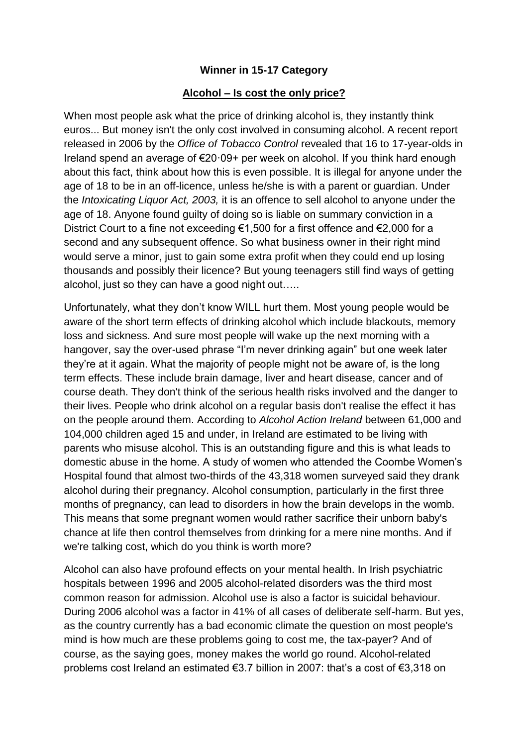#### **Winner in 15-17 Category**

#### **Alcohol – Is cost the only price?**

When most people ask what the price of drinking alcohol is, they instantly think euros... But money isn't the only cost involved in consuming alcohol. A recent report released in 2006 by the *Office of Tobacco Control* revealed that 16 to 17-year-olds in Ireland spend an average of €20·09+ per week on alcohol. If you think hard enough about this fact, think about how this is even possible. It is illegal for anyone under the age of 18 to be in an off-licence, unless he/she is with a parent or guardian. Under the *Intoxicating Liquor Act, 2003,* it is an offence to sell alcohol to anyone under the age of 18. Anyone found guilty of doing so is liable on summary conviction in a District Court to a fine not exceeding €1,500 for a first offence and €2,000 for a second and any subsequent offence. So what business owner in their right mind would serve a minor, just to gain some extra profit when they could end up losing thousands and possibly their licence? But young teenagers still find ways of getting alcohol, just so they can have a good night out…..

Unfortunately, what they don't know WILL hurt them. Most young people would be aware of the short term effects of drinking alcohol which include blackouts, memory loss and sickness. And sure most people will wake up the next morning with a hangover, say the over-used phrase "I'm never drinking again" but one week later they're at it again. What the majority of people might not be aware of, is the long term effects. These include brain damage, liver and heart disease, cancer and of course death. They don't think of the serious health risks involved and the danger to their lives. People who drink alcohol on a regular basis don't realise the effect it has on the people around them. According to *Alcohol Action Ireland* between 61,000 and 104,000 children aged 15 and under, in Ireland are estimated to be living with parents who misuse alcohol. This is an outstanding figure and this is what leads to domestic abuse in the home. A study of women who attended the Coombe Women's Hospital found that almost two-thirds of the 43,318 women surveyed said they drank alcohol during their pregnancy. Alcohol consumption, particularly in the first three months of pregnancy, can lead to disorders in how the brain develops in the womb. This means that some pregnant women would rather sacrifice their unborn baby's chance at life then control themselves from drinking for a mere nine months. And if we're talking cost, which do you think is worth more?

Alcohol can also have profound effects on your mental health. In Irish psychiatric hospitals between 1996 and 2005 alcohol-related disorders was the third most common reason for admission. Alcohol use is also a factor is suicidal behaviour. During 2006 alcohol was a factor in 41% of all cases of deliberate self-harm. But yes, as the country currently has a bad economic climate the question on most people's mind is how much are these problems going to cost me, the tax-payer? And of course, as the saying goes, money makes the world go round. Alcohol-related problems cost Ireland an estimated €3.7 billion in 2007: that's a cost of €3,318 on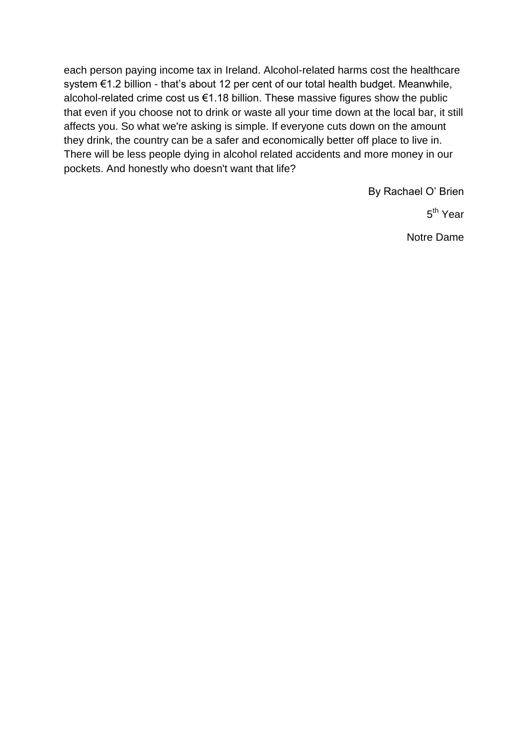each person paying income tax in Ireland. Alcohol-related harms cost the healthcare system €1.2 billion - that's about 12 per cent of our total health budget. Meanwhile, alcohol-related crime cost us €1.18 billion. These massive figures show the public that even if you choose not to drink or waste all your time down at the local bar, it still affects you. So what we're asking is simple. If everyone cuts down on the amount they drink, the country can be a safer and economically better off place to live in. There will be less people dying in alcohol related accidents and more money in our pockets. And honestly who doesn't want that life?

By Rachael O' Brien

5<sup>th</sup> Year

Notre Dame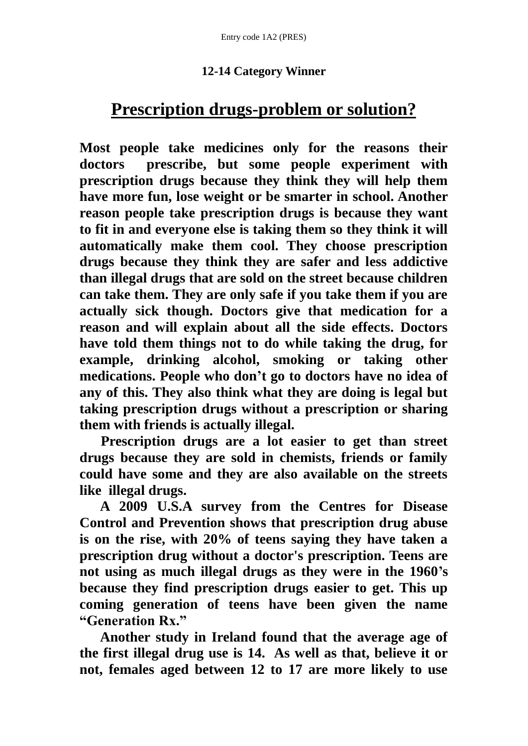### **12-14 Category Winner**

## **Prescription drugs-problem or solution?**

**Most people take medicines only for the reasons their doctors prescribe, but some people experiment with prescription drugs because they think they will help them have more fun, lose weight or be smarter in school. Another reason people take prescription drugs is because they want to fit in and everyone else is taking them so they think it will automatically make them cool. They choose prescription drugs because they think they are safer and less addictive than illegal drugs that are sold on the street because children can take them. They are only safe if you take them if you are actually sick though. Doctors give that medication for a reason and will explain about all the side effects. Doctors have told them things not to do while taking the drug, for example, drinking alcohol, smoking or taking other medications. People who don't go to doctors have no idea of any of this. They also think what they are doing is legal but taking prescription drugs without a prescription or sharing them with friends is actually illegal.**

 **Prescription drugs are a lot easier to get than street drugs because they are sold in chemists, friends or family could have some and they are also available on the streets like illegal drugs.** 

 **A 2009 U.S.A survey from the Centres for Disease Control and Prevention shows that prescription drug abuse is on the rise, with 20% of teens saying they have taken a prescription drug without a doctor's prescription. Teens are not using as much illegal drugs as they were in the 1960's because they find prescription drugs easier to get. This up coming generation of teens have been given the name "Generation Rx."** 

 **Another study in Ireland found that the average age of the first illegal drug use is 14. As well as that, believe it or not, females aged between 12 to 17 are more likely to use**